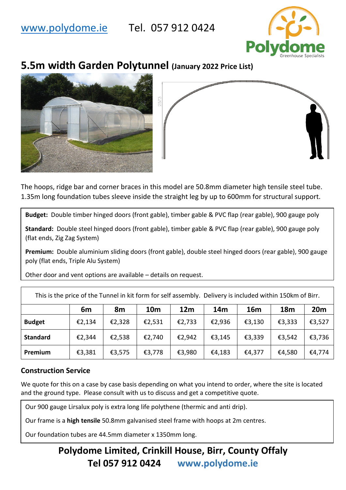## [www.polydome.ie](http://www.polydome.ie/) Tel. 057 912 0424



# **5.5m width Garden Polytunnel (January 2022 Price List)**





The hoops, ridge bar and corner braces in this model are 50.8mm diameter high tensile steel tube. 1.35m long foundation tubes sleeve inside the straight leg by up to 600mm for structural support.

**Budget:** Double timber hinged doors (front gable), timber gable & PVC flap (rear gable), 900 gauge poly

**Standard:** Double steel hinged doors (front gable), timber gable & PVC flap (rear gable), 900 gauge poly (flat ends, Zig Zag System)

**Premium:** Double aluminium sliding doors (front gable), double steel hinged doors (rear gable), 900 gauge poly (flat ends, Triple Alu System)

Other door and vent options are available – details on request.

This is the price of the Tunnel in kit form for self assembly. Delivery is included within 150km of Birr.

|                 | 6m     | 8m     | <b>10m</b> | 12 <sub>m</sub> | 14m    | 16m    | <b>18m</b> | 20m    |
|-----------------|--------|--------|------------|-----------------|--------|--------|------------|--------|
| <b>Budget</b>   | €2,134 | €2,328 | €2,531     | €2,733          | €2,936 | €3,130 | €3,333     | €3,527 |
| <b>Standard</b> | €2,344 | €2,538 | €2,740     | €2,942          | €3,145 | €3,339 | €3,542     | €3,736 |
| Premium         | €3,381 | €3,575 | €3,778     | €3,980          | €4,183 | €4,377 | €4,580     | €4,774 |

### **Construction Service**

We quote for this on a case by case basis depending on what you intend to order, where the site is located and the ground type. Please consult with us to discuss and get a competitive quote.

Our 900 gauge Lirsalux poly is extra long life polythene (thermic and anti drip).

Our frame is a **high tensile** 50.8mm galvanised steel frame with hoops at 2m centres.

Our foundation tubes are 44.5mm diameter x 1350mm long.

## **Polydome Limited, Crinkill House, Birr, County Offaly Tel 057 912 0424 www.polydome.ie**